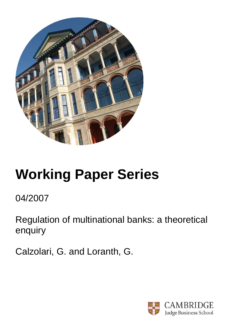

# **Working Paper Series**

04/2007

Regulation of multinational banks: a theoretical enquiry

Calzolari, G. and Loranth, G.

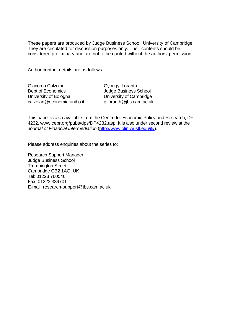These papers are produced by Judge Business School, University of Cambridge. They are circulated for discussion purposes only. Their contents should be considered preliminary and are not to be quoted without the authors' permission.

Author contact details are as follows:

| Giacomo Calzolari           |
|-----------------------------|
| Dept of Economics           |
| University of Bologna       |
| calzolari@economia.unibo.it |

Gyongyi Loranth Judge Business School University of Cambridge g.loranth@jbs.cam.ac.uk

This paper is also available from the Centre for Economic Policy and Research, DP 4232, www.cepr.org/pubs/dps/DP4232.asp. It is also under second review at the *Journal of Financial Intermediation* (http://www.olin.wustl.edu/jfi/).

Please address enquiries about the series to:

Research Support Manager Judge Business School Trumpington Street Cambridge CB2 1AG, UK Tel: 01223 760546 Fax: 01223 339701 E-mail: research-support@jbs.cam.ac.uk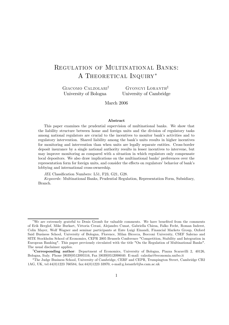# Regulation of Multinational Banks: A THEORETICAL INQUIRY<sup>\*</sup>

Giacomo Calzolari† University of Bologna

Gyongyi Loranth‡ University of Cambridge

March 2006

#### Abstract

This paper examines the prudential supervision of multinational banks. We show that the liability structure between home and foreign units and the division of regulatory tasks among national regulators are crucial to the incentives to monitor bank's activities and to regulatory intervention. Shared liability among the bank's units results in higher incentives for monitoring and intervention than when units are legally separate entities. Cross-border deposit insurance by a single national authority results in lesser incentives to intervene, but may improve monitoring as compared with a situation in which regulators only compensate local depositors. We also draw implications on the multinational banks' preferences over the representation form for foreign units, and consider the effects on regulators' behavior of bank's lobbying and international cross-ownership.

JEL Classification Numbers: L51, F23, G21, G28.

Keywords: Multinational Banks, Prudential Regulation, Representation Form, Subsidiary, Branch.

<sup>∗</sup>We are extremely grateful to Denis Gromb for valuable comments. We have benefited from the comments of Erik Berglof, Mike Burkart, Vittoria Cerasi, Alejandro Cunat, Gabriella Chiesa, Falko Fecht, Roman Inderst, Colin Mayer, Wolf Wagner and seminar participants at Ente Luigi Einaudi, Financial Markets Group, Oxford Said Business School, University of Bologna, Florence, Milan Bicocca, Bocconi University, CSEF Salerno and SITE Stockholm School of Economics, CEPR 2005 Brussels Conference "Competition, Stability and Integration in European Banking". This paper previously circulated with the title "On the Regulation of Multinational Banks". The usual disclaimer applies.

<sup>†</sup>Corresponding author: Department of Economics, University of Bologna, Piazza Scaravilli 2, 40126, Bologna, Italy. Phone [0039]0512095516, Fax [0039]0512098040. E-mail: calzolari@economia.unibo.it

<sup>‡</sup>The Judge Business School, University of Cambridge, CERF and CEPR, Trumpington Street, Cambridge CB2 1AG, UK, tel:44(0)1223 760584, fax:44(0)1223 33970, e-mail:g.loranth@jbs.cam.ac.uk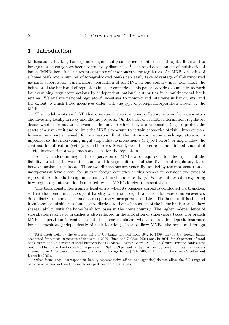# 1 Introduction

Multinational banking has expanded significantly as barriers to international capital flows and to foreign market entry have been progressively dismantled.<sup>1</sup> The rapid development of multinational banks (MNBs hereafter) represents a source of new concerns for regulators. An MNB consisting of a home bank and a number of foreign-located banks can easily take advantage of ill-harmonized national supervisors. Furthermore, regulation of an MNB in one country may well affect the behavior of the bank and of regulators in other countries. This paper provides a simple framework for examining regulatory actions by independent national authorities in a multinational bank setting. We analyze national regulators' incentives to monitor and intervene in bank units, and the extent to which these incentives differ with the type of foreign incorporation chosen by the MNBs.

The model posits an MNB that operates in two countries, collecting money from depositors and investing locally in risky and illiquid projects. On the basis of available information, regulators decide whether or not to intervene in the unit for which they are responsible (e.g. to protect the assets of a given unit and to limit the MNB's exposure to certain categories of risk). Intervention, however, is a partial remedy for two reasons. First, the information upon which regulators act is imperfect so that intervening might stop valuable investments (a type I error), or might allow the continuation of bad projects (a type II error). Second, even if it secures some minimal amount of assets, intervention always has some costs for the regulators.

A clear understanding of the supervision of MNBs also requires a full description of the liability structure between the home and foreign units and of the division of regulatory tasks between national regulators. These two dimensions are generally implied by the representation or incorporation form chosen for units in foreign countries; in this respect we consider two types of representation for the foreign unit, namely branch and subsidiary.2 We are interested in exploring how regulatory intervention is affected by the MNB's foreign representation.

The bank constitutes a single legal entity when its business abroad is conducted via branches, so that the home unit shares joint liability with the foreign branch for its losses (and viceversa). Subsidiaries, on the other hand, are separately incorporated entities. The home unit is shielded from losses of subsidiaries, but as subsidiaries are themselves assets of the home bank, a subsidiary shares liability with the home bank for losses in the home country. The higher independence of subsidiaries relative to branches is also reflected in the allocation of supervisory tasks. For branch MNBs, supervision is centralized at the home regulator, who also provides deposit insurance for all depositors (independently of their location). In subsidiary MNBs, the home and foreign

<sup>1</sup>Total assets held by the overseas units of US banks doubled from 1992 to 1996. In the US, foreign banks accounted for almost 10 percent of deposits in 2000 (Buch and Golder, 2001) and, in 2001, for 20 percent of total bank assets and 26 percent of total business loans (Federal Reserve Board, 2002). In Central Europe bank assets controlled by foreign banks rose from 8 percent in 1994 to 59 percent in 1999. Almost 50 percent of total bank assets in some Latin American countries are controlled by foreign banks (IMF, 2000). For more details, see Calzolari and Loranth (2003).

<sup>&</sup>lt;sup>2</sup>Other forms (e.g. correspondent banks, representative offices and agencies) do not allow the full range of banking activities and are thus much less pertinent to our analysis.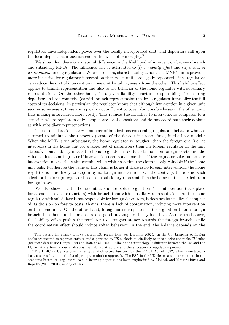regulators have independent power over the locally incorporated unit, and depositors call upon the local deposit insurance scheme in the event of bankruptcy.<sup>3</sup>

We show that there is a material difference in the likelihood of intervention between branch and subsidiary MNBs. The difference can be attributed to (i) a liability effect and (ii) a lack of coordination among regulators. Where it occurs, shared liability among the MNB's units provides more incentive for regulatory intervention than when units are legally separated, since regulators can reduce the cost of intervention in one unit by taking assets from the other. This liability effect applies to branch representation and also to the behavior of the home regulator with subsidiary representation. On the other hand, for a given liability structure, responsibility for insuring depositors in both countries (as with branch representation) makes a regulator internalize the full costs of its decisions. In particular, the regulator knows that although intervention in a given unit secures some assets, these are typically not sufficient to cover also possible losses in the other unit, thus making intervention more costly. This reduces the incentive to intervene, as compared to a situation where regulators only compensate local depositors and do not coordinate their actions as with subsidiary representation).

These considerations carry a number of implications concerning regulators' behavior who are assumed to minimize the (expected) costs of the deposit insurance fund, in the base model.4 When the MNB is via subsidiary, the home regulator is 'tougher' than the foreign one (i.e. it intervenes in the home unit for a larger set of parameters than the foreign regulator in the unit abroad). Joint liability makes the home regulator a residual claimant on foreign assets and the value of this claim is greater if intervention occurs at home than if the regulator takes no action: intervention makes the claim certain, while with no action the claim is only valuable if the home unit fails. Further, as the value of this claim is larger if there is no foreign intervention, the home regulator is more likely to step in by no foreign intervention. On the contrary, there is no such effect for the foreign regulator because in subsidiary representation the home unit is shielded from foreign losses.

We also show that the home unit falls under 'softer regulation' (i.e. intervention takes place for a smaller set of parameters) with branch than with subsidiary representation. As the home regulator with subsidiary is not responsible for foreign depositors, it does not internalize the impact of its decision on foreign costs; that is, there is lack of coordination, inducing more intervention on the home unit. On the other hand, foreign subsidiary faces softer regulation than a foreign branch if the home unit's prospects look good but tougher if they look bad. As discussed above, the liability effect pushes the regulator to a tougher stance towards the foreign branch, while the coordination effect should induce softer behavior: in the end, the balance depends on the

<sup>&</sup>lt;sup>3</sup>This description closely follows current EU regulations (see Dermine 2002). In the US, branches of foreign banks are treated as separate entities and supervised by US authorities, similarly to subsidiaries under the EU rules (for more details see Houpt 1999 and Bain et al. 2003). Albeit the terminology is different between the US and the EU, what matters for our analysis is the liability structure and the allocation of regulatory powers.

<sup>&</sup>lt;sup>4</sup>The FDIC in US was given this type of objective function by the FDICI Act of 1992, which mandated a least-cost resolution method and prompt resolution approach. The FSA in the UK shares a similar mission. In the academic literature, regulators' role in insuring deposits has been emphasized by Mailath and Mester (1994) and Repullo (2000, 2001), among others.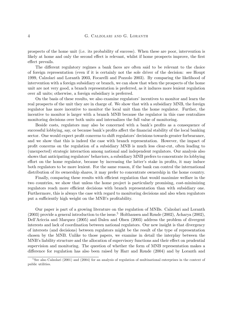prospects of the home unit (i.e. its probability of success). When these are poor, intervention is likely at home and only the second effect is relevant, whilst if home prospects improve, the first effect prevails.

The different regulatory regimes a bank faces are often said to be relevant to the choice of foreign representation (even if it is certainly not the sole driver of the decision: see Houpt 1999, Calzolari and Loranth 2003, Focarelli and Pozzolo 2003). By comparing the likelihood of intervention with a foreign subsidiary or branch, we can show that when the prospects of the home unit are not very good, a branch representation is preferred, as it induces more lenient regulation over all units; otherwise, a foreign subsidiary is preferred.

On the basis of these results, we also examine regulators' incentives to monitor and learn the real prospects of the unit they are in charge of. We show that with a subsidiary MNB, the foreign regulator has more incentive to monitor the local unit than the home regulator. Further, the incentive to monitor is larger with a branch MNB because the regulator in this case centralizes monitoring decisions over both units and internalizes the full value of monitoring.

Beside costs, regulators may also be concerned with a bank's profits as a consequence of successful lobbying, say, or because bank's profits affect the financial stability of the local banking sector. One would expect profit concerns to shift regulators' decisions towards greater forbearance, and we show that this is indeed the case with branch representation. However, the impact of profit concerns on the regulation of a subsidiary MNB is much less clear-cut, often leading to (unexpected) strategic interaction among national and independent regulators. Our analysis also shows that anticipating regulators' behaviors, a subsidiary MNB prefers to concentrate its lobbying effort on the home regulator, because by increasing the latter's stake in profits, it may induce both regulators to be more lenient. For the same reason, if the bank can control the international distribution of its ownership shares, it may prefer to concentrate ownership in the home country.

Finally, comparing these results with efficient regulation that would maximize welfare in the two countries, we show that unless the home project is particularly promising, cost-minimizing regulators reach more efficient decisions with branch representation than with subsidiary one. Furthermore, this is always the case with regard to monitoring decisions and also when regulators put a sufficiently high weight on the MNB's profitability.

Our paper is part of a growing literature on the regulation of MNBs. Calzolari and Loranth  $(2003)$  provide a general introduction to the issue.<sup>5</sup> Holthausen and Rønde (2002), Acharya (2002), Dell'Ariccia and Marquez (2005) and Dalen and Olsen (2003) address the problem of divergent interests and lack of coordination between national regulators. Our new insight is that divergency of interests (and decisions) between regulators might be the result of the type of representation chosen by the MNB. Unlike to those papers, we examine in detail the interplay between the MNB's liability structure and the allocation of supervisory functions and their effect on prudential supervision and monitoring. The question of whether the form of MNB representation makes a difference for regulation has also been raised by Harr and Rønde (2004) and by Loranth and

<sup>&</sup>lt;sup>5</sup>See also Calzolari (2001) and (2004) for an analysis of regulation of multinational enterprises in the context of public utilities.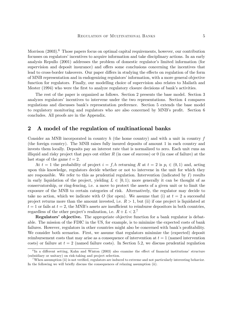Morrison  $(2003)$ .<sup>6</sup> Those papers focus on optimal capital requirements, however, our contribution focusses on regulators' incentives to acquire information and take disciplinary actions. In an early analysis Repullo (2001) addresses the problem of domestic regulator's limited information (for supervision and deposit insurance) and offers some conclusions concerning the incentives that lead to cross-border takeovers. Our paper differs in studying the effects on regulation of the form of MNB representation and in endogenizing regulators' information, with a more general objective function for regulators. Finally, our modelling choice of supervision also relates to Mailath and Mester (1994) who were the first to analyze regulatory closure decisions of bank's activities.

The rest of the paper is organized as follows. Section 2 presents the base model. Section 3 analyzes regulators' incentives to intervene under the two representations. Section 4 compares regulations and discusses bank's representation preference. Section 5 extends the base model to regulatory monitoring and regulators who are also concerned by MNB's profit. Section 6 concludes. All proofs are in the Appendix.

## 2 A model of the regulation of multinational banks

Consider an MNB incorporated in country  $h$  (the home country) and with a unit in country  $f$ (the foreign country). The MNB raises fully insured deposits of amount 1 in each country and invests them locally. Deposits pay an interest rate that is normalized to zero. Each unit runs an illiquid and risky project that pays out either  $R$  (in case of success) or 0 (in case of failure) at the last stage of the game  $t = 2$ .

At  $t = 1$  the probability of project  $i = f, h$  returning R at  $t = 2$  is  $p_i \in (0, 1)$  and, acting upon this knowledge, regulators decide whether or not to intervene in the unit for which they are responsible. We refer to this as prudential regulation. Intervention (indicated by  $I$ ) results in early liquidation of the project, yielding  $L \in [0, 1)$ ; more generally it can be thought of as conservatorship, or ring-fencing, i.e. a move to protect the assets of a given unit or to limit the exposure of the MNB to certain categories of risk. Alternatively, the regulator may decide to take no action, which we indicate with O (for open). We assume that (i) at  $t = 2$  a successful project returns more than the amount invested, i.e.  $R > 1$ , but (ii) if one project is liquidated at  $t = 1$  or fails at  $t = 2$ , the MNB's assets are insufficient to reimburse depositors in both countries, regardless of the other project's realization, i.e.  $R + L < 2$ <sup>7</sup>

Regulators' objective. The appropriate objective function for a bank regulator is debatable. The mission of the FDIC in the US, for example, is to minimize the expected costs of bank failures. However, regulators in other countries might also be concerned with bank's profitability. We consider both scenarios. First, we assume that regulators minimize the (expected) deposit reimbursement costs that may arise as a consequence of intervention at  $t = 1$  (named intervention costs) or failure at  $t = 2$  (named failure costs). In Section 5.2, we discuss prudential regulation

 $6$ In a different setting, Kahn and Winton (2003) also examine the effect of financial institutions' structure (subsidiary or unitary) on risk-taking and project selection.

<sup>&</sup>lt;sup>7</sup>When assumption (ii) is not verified, regulators are induced to extreme and not particularly interesting behavior. In the following we will briefly discuss the consequences of relaxing assumption (ii).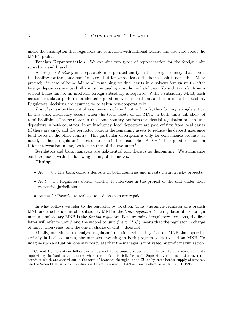#### 6 G. Calzolari and G. Loranth

under the assumption that regulators are concerned with national welfare and also care about the MNB's profits.

Foreign Representation. We examine two types of representation for the foreign unit: subsidiary and branch.

A foreign subsidiary is a separately incorporated entity in the foreign country that shares the liability for the home bank' s losses, but for whose losses the home bank is not liable. More precisely, in case of home failure all remaining residual assets in a solvent foreign unit - after foreign depositors are paid off - must be used against home liabilities. No such transfer from a solvent home unit to an insolvent foreign subsidiary is required. With a subsidiary MNB, each national regulator performs prudential regulation over its local unit and insures local depositors. Regulators' decisions are assumed to be taken non-cooperatively.

Branches can be thought of as extensions of the "mother" bank, thus forming a single entity. In this case, insolvency occurs when the total assets of the MNB in both units fall short of total liabilities. The regulator in the home country performs prudential regulation and insures depositors in both countries. In an insolvency, local depositors are paid off first from local assets (if there are any), and the regulator collects the remaining assets to reduce the deposit insurance fund losses in the other country. This particular description is only for convenience because, as noted, the home regulator insures depositors in both countries. At  $t = 1$  the regulator's decision is for intervention in one, both or neither of the two units.<sup>8</sup>

Regulators and bank managers are risk-neutral and there is no discounting. We summarize our base model with the following timing of the moves:

#### Timing

- At  $t = 0$ : The bank collects deposits in both countries and invests them in risky projects.
- At  $t = 1$ : Regulators decide whether to intervene in the project of the unit under their respective jurisdiction.
- At  $t = 2$ : Payoffs are realized and depositors are repaid.

In what follows we refer to the regulator by location. Thus, the single regulator of a branch MNB and the home unit of a subsidiary MNB is the *home regulator*. The regulator of the foreign unit in a subsidiary MNB is the *foreign regulator*. For any pair of regulatory decisions, the first letter will refer to unit h and the second to unit f, e.g.  $(I, O)$  means that the regulator in charge of unit  $h$  intervenes, and the one in charge of unit  $f$  does not.

Finally, our aim is to analyze regulators' decisions when they face an MNB that operates actively in both countries, the manager investing in both projects so as to lead an MNB. To imagine such a situation, one may postulate that the manager is motivated by profit maximization,

<sup>8</sup>Current EU regulations follow the principle of home country supervision. Hence, the competent authority supervising the bank is the country where the bank is initially licensed. Supervisory responsibilities cover the activities which are carried out in the form of branches throughout the EU or by cross-border supply of services. See the Second EU Banking Coordination Directive issued in 1989 and made effective on January 1, 1993.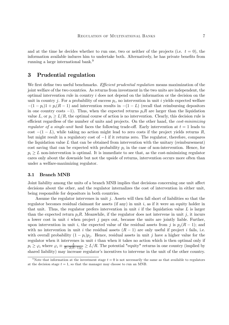and at the time he decides whether to run one, two or neither of the projects (i.e.  $t = 0$ ), the information available induces him to undertake both. Alternatively, he has private benefits from running a large international bank.9

# 3 Prudential regulation

We first define two useful benchmarks. Efficient prudential regulation means maximization of the joint welfare of the two countries. As returns from investment in the two units are independent, the optimal intervention rule in country i does not depend on the information or the decision on the unit in country j. For a probability of success  $p_i$ , no intervention in unit i yields expected welfare  $-(1-p_i)1 + p_i(R-1)$  and intervention results in  $-(1-L)$  (recall that reimbursing depositors in one country costs  $-1$ ). Thus, when the expected returns  $p_iR$  are larger than the liquidation value L, or  $p_i > L/R$ , the optimal course of action is no intervention. Clearly, this decision rule is efficient regardless of the number of units and projects. On the other hand, the *cost-minimizing* regulator of a single-unit bank faces the following trade-off. Early intervention at  $t = 1$  leads to cost  $-(1 - L)$ , while taking no action might lead to zero costs if the project yields returns R. but might result in a regulatory cost of −1 if it returns zero. The regulator, therefore, compares the liquidation value  $L$  that can be obtained from intervention with the unitary (reimbursement) cost saving that can be expected with probability  $p_i$  in the case of non-intervention. Hence, for  $p_i \geq L$  non-intervention is optimal. It is immediate to see that, as the cost-minimizing regulator cares only about the downside but not the upside of returns, intervention occurs more often than under a welfare-maximizing regulator.

### 3.1 Branch MNB

Joint liability among the units of a branch MNB implies that decisions concerning one unit affect decisions about the other, and the regulator internalizes the cost of intervention in either unit, being responsible for depositors in both countries.

Assume the regulator intervenes in unit j. Assets will then fall short of liabilities so that the regulator becomes residual claimant for assets (if any) in unit  $i$ , as if it were an equity holder in that unit. Thus, the regulator prefers intervention in unit  $i$  if the liquidation value  $L$  is larger than the expected return  $p_iR$ . Meanwhile, if the regulator does not intervene in unit j, it incurs a lower cost in unit i when project  $j$  pays out, because the units are jointly liable. Further, upon intervention in unit i, the expected value of the residual assets from j is  $p_i (R - 1)$ ; and with no intervention in unit i the residual assets  $(R - 1)$  are only useful if project i fails, i.e. with overall probability  $(1 - p_i)p_j$ . Hence, residual assets in unit j have a higher value for the regulator when it intervenes in unit  $i$  than when it takes no action which is then optimal only if  $p_i \ge \varphi_i$  where  $\varphi_i \equiv \frac{L}{R-2(R-1)p_j} \ge L/R$ . The potential "equity" returns in one country (implied by shared liability) may increase regulator's incentives to intervene in the unit of the other country.

<sup>&</sup>lt;sup>9</sup>Note that information at the investment stage  $t = 0$  is not necessarily the same as that available to regulators at the decision stage  $t = 1$ , so that the manager may choose to run an MNB.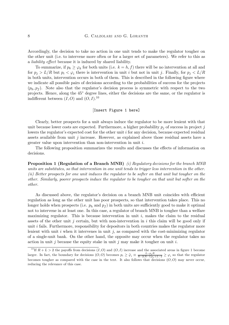#### 8 G. CALZOLARI AND G. LORANTH

Accordingly, the decision to take no action in one unit tends to make the regulator tougher on the other unit (i.e. to intervene more often or for a larger set of parameters). We refer to this as a liability effect because it is induced by shared liability.

To summarize, if  $p_k \geq \varphi_k$  for both units (i.e.  $k = h, f$ ) there will be no intervention at all and for  $p_j > L/R$  but  $p_i < \varphi_i$  there is intervention in unit i but not in unit j. Finally, for  $p_j < L/R$ in both units, intervention occurs in both of them. This is described in the following figure where we indicate all possible pairs of decisions according to the probabilities of success for the projects  $(p_h, p_f)$ . Note also that the regulator's decision process is symmetric with respect to the two projects. Hence, along the 45◦ degree lines, either the decisions are the same, or the regulator is indifferent between  $(I, O)$  and  $(O, I)$ .<sup>10</sup>

#### [Insert Figure 1 here]

Clearly, better prospects for a unit always induce the regulator to be more lenient with that unit because lower costs are expected. Furthermore, a higher probability  $p_i$  of success in project j lowers the regulator's expected cost for the other unit i for any decision, because expected residual assets available from unit  $j$  increase. However, as explained above those residual assets have a greater value upon intervention than non-intervention in unit i.

The following proposition summarizes the results and discusses the effects of information on decisions.

Proposition 1 (Regulation of a Branch MNB) (i) Regulatory decisions for the branch MNB units are substitutes, so that intervention in one unit tends to trigger less intervention in the other. (ii) Better prospects for one unit induces the regulator to be softer on that unit but tougher on the other. Similarly, poorer prospects induce the regulator to be tougher on that unit but softer on the other.

As discussed above, the regulator's decision on a branch MNB unit coincides with efficient regulation as long as the other unit has poor prospects, so that intervention takes place. This no longer holds when prospects (i.e.  $p_h$  and  $p_f$ ) in both units are sufficiently good to make it optimal not to intervene in at least one. In this case, a regulator of branch MNB is tougher than a welfare maximizing regulator. This is because intervention in unit  $i$ , makes the claim to the residual assets of the other unit j certain, but with non-intervention in i this claim will be good only if unit  $i$  fails. Furthermore, responsibility for depositors in both countries makes the regulator more lenient with unit  $i$  when it intervenes in unit  $j$ , as compared with the cost-minimizing regulator of a single-unit bank. On the other hand, the opposite may occur when the regulator takes no action in unit j because the equity stake in unit j may make it tougher on unit i.

<sup>&</sup>lt;sup>10</sup> If  $R + L > 2$  the payoffs from decisions  $(I, O)$  and  $(O, I)$  increase and the associated areas in figure 1 become larger. In fact, the boundary for decisions  $(O, O)$  becomes  $p_i \geq \tilde{\varphi}_i \equiv \frac{L-p_j R}{R-2(R-1)p_j+L-2} \geq \varphi_i$  so that the regulator becomes tougher as compared with the case in the text. It also follows that decisions  $(O, O)$  may never occur, reducing the relevance of this case.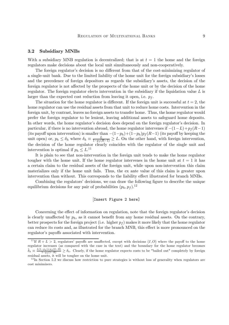#### 3.2 Subsidiary MNBs

With a subsidiary MNB regulation is decentralized; that is at  $t = 1$  the home and the foreign regulators make decisions about the local unit simultaneously and non-cooperatively.

The foreign regulator's decision is no different from that of the cost-minimizing regulator of a single-unit bank. Due to the limited liability of the home unit for the foreign subsidiary's losses and the precedence of foreign depositors as regards the subsidiary's assets, the decision of the foreign regulator is not affected by the prospects of the home unit or by the decision of the home regulator. The foreign regulator elects intervention in the subsidiary if the liquidation value  $L$  is larger than the expected cost reduction from leaving it open, i.e.  $p_f$ .

The situation for the home regulator is different. If the foreign unit is successful at  $t = 2$ , the home regulator can use the residual assets from that unit to reduce home costs. Intervention in the foreign unit, by contrast, leaves no foreign assets to transfer home. Thus, the home regulator would prefer the foreign regulator to be lenient, leaving additional assets to safeguard home deposits. In other words, the home regulator's decision does depend on the foreign regulator's decision. In particular, if there is no intervention abroad, the home regulator intervenes if  $-(1-L)+p_f(R-1)$ (its payoff upon intervention) is smaller than  $-(1-p_h)+(1-p_h)p_f(R-1)$  (its payoff by keeping the unit open) or,  $p_h \le \delta_h$  where  $\delta_h \equiv \frac{L}{1 - p_f(R-1)} \ge L$ . On the other hand, with foreign intervention, the decision of the home regulator clearly coincides with the regulator of the single unit and intervention is optimal if  $p_h \leq L^{11}$ 

It is plain to see that non-intervention in the foreign unit tends to make the home regulator tougher with the home unit. If the home regulator intervenes in the home unit at  $t = 1$  it has a certain claim to the residual assets of the foreign unit, while upon non-intervention this claim materializes only if the home unit fails. Thus, the ex ante value of this claim is greater upon intervention than without. This corresponds to the liability effect illustrated for branch MNBs.

Combining the regulators' decisions, we can draw the following figure to describe the unique equilibrium decisions for any pair of probabilities  $(p_h, p_f)$ .<sup>12</sup>

#### [Insert Figure 2 here]

Concerning the effect of information on regulation, note that the foreign regulator's decision is clearly unaffected by  $p_h$ , as it cannot benefit from any home residual assets. On the contrary, better prospects for the foreign project (i.e. higher  $p_f$ ) makes it more likely that the home regulator can reduce its costs and, as illustrated for the branch MNB, this effect is more pronounced on the regulator's payoffs associated with intervention.

<sup>&</sup>lt;sup>11</sup>If  $R + L > 2$ , regulators' payoffs are unaffected, except with decisions  $(I, O)$  where the payoff to the home regulator increases (as compared with the case in the text) and the boundary for the home regulator becomes  $\tilde{\delta}_h \equiv \frac{L(1-p_f)+p_f(2-R)}{1-p_f(1-R)} \ge \delta_h$ . Clearly, if the home regulator expects costs to be "bailed out" completely by foreign residual assets, it will be tougher on the home unit.

 $12$  In Section 5.2 we discuss how restriction to pure strategies is without loss of generality when regulators are cost minimizers.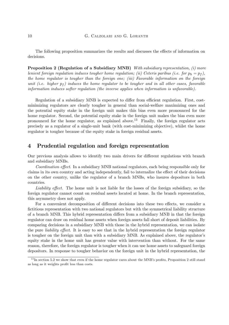The following proposition summarizes the results and discusses the effects of information on decisions.

Proposition 2 (Regulation of a Subsidiary MNB) With subsidiary representation, (i) more lenient foreign regulation induces tougher home regulation; (ii) Ceteris paribus (i.e. for  $p_h = p_f$ ), the home regulator is tougher than the foreign one; (iii) Favorable information on the foreign unit (i.e. higher  $p_f$ ) induces the home regulator to be tougher and in all other cases, favorable information induces softer regulation (the inverse applies when information is unfavorable).

Regulation of a subsidiary MNB is expected to differ from efficient regulation. First, costminimizing regulators are clearly tougher in general than social-welfare maximizing ones and the potential equity stake in the foreign unit makes this bias even more pronounced for the home regulator. Second, the potential equity stake in the foreign unit makes the bias even more pronounced for the home regulator, as explained above.<sup>13</sup> Finally, the foreign regulator acts precisely as a regulator of a single-unit bank (with cost-minimizing objective), whilst the home regulator is tougher because of the equity stake in foreign residual assets.

# 4 Prudential regulation and foreign representation

Our previous analysis allows to identify two main drivers for different regulations with branch and subsidiary MNBs.

Coordination effect. In a subsidiary MNB national regulators, each being responsible only for claims in its own country and acting independently, fail to internalize the effect of their decisions on the other country, unlike the regulator of a branch MNBs, who insures depositors in both countries.

Liability effect. The home unit is not liable for the losses of the foreign subsidiary, so the foreign regulator cannot count on residual assets located at home. In the branch representation, this asymmetry does not apply.

For a convenient decomposition of different decisions into these two effects, we consider a fictitious representation with two national regulators but with the symmetrical liability structure of a branch MNB. This hybrid representation differs from a subsidiary MNB in that the foreign regulator can draw on residual home assets when foreign assets fall short of deposit liabilities. By comparing decisions in a subsidiary MNB with those in the hybrid representation, we can isolate the pure liability effect. It is easy to see that in the hybrid representation the foreign regulator is tougher on the foreign unit than with a subsidiary MNB. As explained above, the regulator's equity stake in the home unit has greater value with intervention than without. For the same reason, therefore, the foreign regulator is tougher when it can use home assets to safeguard foreign depositors. In response to tougher behavior on the foreign unit in the hybrid representation, the

 $13$  In section 5.2 we show that even if the home regulator cares about the MNB's profits, Proposition 2 still stand as long as it weights profit less than costs.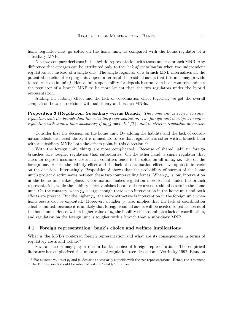home regulator may go softer on the home unit, as compared with the home regulator of a subsidiary MNB.

Next we compare decisions in the hybrid representation with those under a branch MNB. Any difference that emerges can be attributed only to the lack of coordination when two independent regulators act instead of a single one. The single regulator of a branch MNB internalizes all the potential benefits of keeping unit i open in terms of the residual assets that this unit may provide to reduce costs in unit j. Hence, full responsibility for deposit insurance in both countries induces the regulator of a branch MNB to be more lenient than the two regulators under the hybrid representation.

Adding the liability effect and the lack of coordination effect together, we get the overall comparison between decisions with subsidiary and branch MNBs.

Proposition 3 (Regulation: Subsidiary versus Branch) The home unit is subject to softer regulation with the branch than the subsidiary representation. The foreign unit is subject to softer regulation with branch than subsidiary if  $p_h \leq \max\{L, 1/2\}$ , and to stricter regulation otherwise.

Consider first the decision on the home unit. By adding the liability and the lack of coordination effects discussed above, it is immediate to see that regulation is softer with a branch than with a subsidiary MNB: both the effects point in this direction.<sup>14</sup>

With the foreign unit, things are more complicated. Because of shared liability, foreign branches face tougher regulation than subsidiaries. On the other hand, a single regulator that cares for deposit insurance costs in all countries tends to be softer on all units, i.e. also on the foreign one. Hence, the liability effect and the lack of coordination effect have opposite impacts on the decision. Interestingly, Proposition 3 shows that the probability of success of the home unit's project discriminates between these two countervailing forces. When  $p_h$  is low, intervention in the home unit takes place. Coordination makes regulation more lenient under the branch representation, while the liability effect vanishes because there are no residual assets in the home unit. On the contrary, when  $p_h$  is large enough there is no intervention in the home unit and both effects are present. But the higher  $p_h$ , the more attractive is intervention in the foreign unit when home assets can be exploited. Moreover, a higher  $p_h$  also implies that the lack of coordination effect is limited, because it is unlikely that foreign residual assets will be needed to reduce losses of the home unit. Hence, with a higher value of  $p<sub>h</sub>$  the liability effect dominates lack of coordination, and regulation on the foreign unit is tougher with a branch than a subsidiary MNB.

#### 4.1 Foreign representation: bank's choice and welfare implications

What is the MNB's preferred foreign representation and what are its consequences in terms of regulatory costs and welfare?

Several factors may play a role in banks' choice of foreign representation. The empirical literature has emphasized the importance of regulation (see Ursacki and Vertinsky 1992, Blandon

<sup>&</sup>lt;sup>14</sup>For extreme values of  $p_f$  and  $p_h$  decisions necessarily coincide with the two representations. Hence, the statement of the Proposition 3 should be intended with a "weakly" qualifier.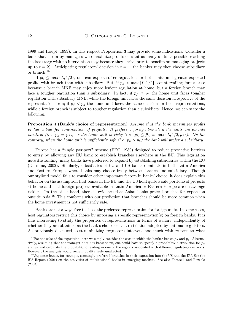1999 and Houpt, 1999). In this respect Proposition 3 may provide some indications. Consider a bank that is run by managers who maximize profits or want as many units as possible reaching the last stage with no intervention (say because they derive private benefits on managing projects up to  $t = 2$ ). Anticipating regulators' decision in  $t = 1$ , the banker may then choose subsidiary or branch.<sup>15</sup>

If  $p_h \leq \max\{L, 1/2\}$ , one can expect softer regulation for both units and greater expected profits with branch than with subsidiary. But, if  $p_h > \max\{L, 1/2\}$ , countervailing forces arise because a branch MNB may enjoy more lenient regulation at home, but a foreign branch may face a tougher regulation than a subsidiary. In fact, if  $p_f \geq p_h$  the home unit faces tougher regulation with subsidiary MNB, while the foreign unit faces the same decision irrespective of the representation form; if  $p_f < p_h$  the home unit faces the same decision for both representations, while a foreign branch is subject to tougher regulation than a subsidiary. Hence, we can state the following.

Proposition 4 (Bank's choice of representation) Assume that the bank maximizes profits or has a bias for continuation of projects. It prefers a foreign branch if the units are ex-ante *identical (i.e.*  $p_h = p_f$ ), or the home unit is risky (i.e.  $p_h \leq \overline{p}_h \equiv \max\{L, 1/2, p_f\}$ ). On the contrary, when the home unit is sufficiently safe (i.e.  $p_h > \overline{p}_h$ ) the bank will prefer a subsidiary.

Europe has a "single passport" scheme (EEC, 1989) designed to reduce protective barriers to entry by allowing any EU bank to establish branches elsewhere in the EU. This legislation notwithstanding, many banks have preferred to expand by establishing subsidiaries within the EU (Dermine, 2002). Similarly, subsidiaries of EU and US banks dominate in both Latin America and Eastern Europe, where banks may choose freely between branch and subsidiary. Though our stylized model fails to consider other important factors in banks' choice, it does explain this behavior on the assumption that banks in the EU and the US hold quite a safe portfolio of projects at home and that foreign projects available in Latin America or Eastern Europe are on average riskier. On the other hand, there is evidence that Asian banks prefer branches for expansion outside Asia.<sup>16</sup> This conforms with our prediction that branches should be more common when the home investment is not sufficiently safe.

Banks are not always free to chose the preferred representation for foreign units. In some cases, host regulators restrict this choice by imposing a specific representation(s) on foreign banks. It is thus interesting to study the properties of representations in terms of welfare, independently of whether they are obtained as the bank's choice or as a restriction adopted by national regulators. As previously discussed, cost-minimizing regulators intervene too much with respect to what

<sup>&</sup>lt;sup>15</sup>For the sake of the exposition, here we simply consider the case in which the banker knows  $p_h$  and  $p_f$ . Alternatively, assuming that the manager does not know them, one could have to specify a probability distribution for  $p_h$ and  $p_f$  and calculate the probability of ending in one of the regions associated with different regulatory decisions. However, the analysis would remain qualitatively unaffected.

<sup>&</sup>lt;sup>16</sup> Japanese banks, for example, seemingly preferred branches in their expansion into the US and the EU. See the BIS Report (2001) on the activities of multinational banks in emerging markets. See also Focarelli and Pozzolo (2003).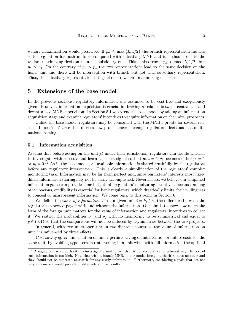welfare maximization would prescribe. If  $p_h \n\t\leq \max\{L, 1/2\}$  the branch representation induces softer regulation for both units as compared with subsidiary-MNB and it is thus closer to the welfare maximizing decision than the subsidiary one. This is also true if  $p_h > \max\{L, 1/2\}$  but  $p_h \leq p_f$ . On the contrary, if  $p_h > \overline{p}_h$  the two representations lead to the same decision on the home unit and there will be intervention with branch but not with subsidiary representation. Thus, the subsidiary representation brings closer to welfare maximizing decisions.

# 5 Extensions of the base model

In the previous sections, regulatory information was assumed to be cost-free and exogenously given. However, information acquisition is crucial in drawing a balance between centralized and decentralized MNB supervision. In Section 5.1 we extend the base model by adding an information acquisition stage and examine regulators' incentives to acquire information on the units' prospects.

Unlike the base model, regulators may be concerned with the MNB's profits for several reasons. In section 5.2 we then discuss how profit concerns change regulators' decisions in a multinational setting.

#### 5.1 Information acquisition

Assume that before acting on the unit(s) under their jurisdiction, regulators can decide whether to investigate with a cost c and learn a perfect signal so that at  $t = 1$   $p_i$  becomes either  $p_i = 1$ or  $p_i = 0$ .<sup>17</sup> As in the base model, all available information is shared truthfully by the regulators before any regulatory intervention. This is clearly a simplification of the regulators' complex monitoring task. Information may be far from perfect and, since regulators' interests most likely differ, information sharing may not be easily accomplished. Nevertheless, we believe our simplified information game can provide some insight into regulators' monitoring incentives, because, among other reasons, credibility is essential for bank regulators, which drastically limits their willingness to conceal or misrepresent information. We come back to this point in Section 6.

We define the value of information  $V^i$  on a given unit  $i = h, f$  as the difference between the regulator's expected payoff with and without the information. Our aim is to show how much the form of the foreign unit matters for the value of information and regulators' incentives to collect it. We restrict the probabilities  $p_h$  and  $p_f$  with no monitoring to be symmetrical and equal to  $p \in (0, 1)$  so that the comparisons will not be induced by asymmetries between the two projects.

In general, with two units operating in two different countries, the value of information on unit  $i$  is influenced by three effects:

Cost-saving effect. Information on unit i permits saving on intervention or failure costs for the same unit, by avoiding type I errors (intervening in a unit when with full information the optimal

 $17A$  regulator has no authority to investigate a unit for which it is not responsible; or alternatively, the cost of such information is too high. Note that with a branch MNB, in our model foreign authorities have no stake and they should not be expected to search for any costly information. Furthermore, considering signals that are not fully informative would provide qualitatively similar results.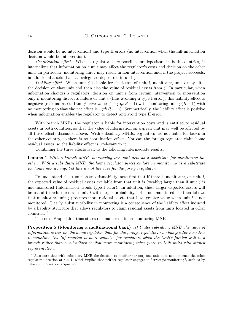decision would be no intervention) and type II errors (no intervention when the full-information decision would be intervention).

Coordination effect. When a regulator is responsible for depositors in both countries, it internalizes that information on a unit may affect the regulator's costs and decision on the other unit. In particular, monitoring unit  $i$  may result in non-intervention and, if the project succeeds, in additional assets that can safeguard depositors in unit j.

Liability effect. When unit j is liable for the losses of unit i, monitoring unit i may alter the decision on that unit and then also the value of residual assets from  $j$ . In particular, when information changes a regulators' decision on unit i from certain intervention to intervention only if monitoring discovers failure of unit  $i$  (thus avoiding a type I error), this liability effect is negative (residual assets from j have value  $(1-p)p(R-1)$  with monitoring, and  $p(R-1)$  with no monitoring so that the net effect is  $-p^2(R-1)$ ). Symmetrically, the liability effect is positive when information enables the regulator to detect and avoid type II error.

With branch MNBs, the regulator is liable for intervention costs and is entitled to residual assets in both countries, so that the value of information on a given unit may well be affected by all three effects discussed above. With subsidiary MNBs, regulators are not liable for losses in the other country, so there is no coordination effect. Nor can the foreign regulator claim home residual assets, so the liability effect is irrelevant to it.

Combining the three effects lead to the following intermediate results.

Lemma 1 With a branch MNB, monitoring one unit acts as a substitute for monitoring the other. With a subsidiary MNB, the home regulator perceives foreign monitoring as a substitute for home monitoring, but this is not the case for the foreign regulator.

To understand this result on substitutability, note first that if there is monitoring on unit  $j$ , the expected value of residual assets available from that unit is (weakly) larger than if unit  $j$  is not monitored (information avoids type I error). In addition, these larger expected assets will be useful to reduce costs in unit i with larger probability if i is not monitored. It then follows that monitoring unit  $i$  procures more residual assets that have greater value when unit  $i$  is not monitored. Clearly, substitutability in monitoring is a consequence of the liability effect induced by a liability structure that allows regulators to claim residual assets from units located in other countries.<sup>18</sup>

The next Proposition thus states our main results on monitoring MNBs.

Proposition 5 (Monitoring a multinational bank) *(i)* Under subsidiary MNB, the value of information is less for the home regulator than for the foreign regulator, who has greater incentive to monitor. (ii) Information is more valuable for regulators when the bank's foreign unit is a branch rather than a subsidiary so that more monitoring takes place in both units with branch representation.

 $18$ Also note that with subsidiary MNB the decision to monitor (or not) one unit does not influence the other regulator's decision at  $t = 1$ , which implies that neither regulator engages in "strategic monitoring", such as by delaying information acquisition.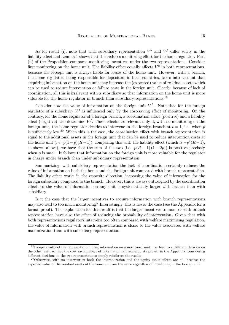As for result (i), note that with subsidiary representation  $V^h$  and  $V^f$  differ solely in the liability effect and Lemma 1 shows that this reduces monitoring effort for the home regulator. Part (ii) of the Proposition compares monitoring incentives under the two representations. Consider first monitoring on the home unit. The liability effect equally affects  $V^h$  in both representations, because the foreign unit is always liable for losses of the home unit. However, with a branch, the home regulator, being responsible for depositors in both countries, takes into account that acquiring information on the home unit may increase the (expected) value of residual assets which can be used to reduce intervention or failure costs in the foreign unit. Clearly, because of lack of coordination, all this is irrelevant with a subsidiary so that information on the home unit is more valuable for the home regulator in branch than subsidiary representations.<sup>19</sup>

Consider now the value of information on the foreign unit  $V^f$ . Note that for the foreign regulator of a subsidiary  $V^f$  is influenced only by the cost-saving effect of monitoring. On the contrary, for the home regulator of a foreign branch, a coordination effect (positive) and a liability effect (negative) also determine  $V^f$ . These effects are relevant only if, with no monitoring on the foreign unit, the home regulator decides to intervene in the foreign branch at  $t = 1$ , i.e. when p is sufficiently low.20 When this is the case, the coordination effect with branch representation is equal to the additional assets in the foreign unit that can be used to reduce intervention costs at the home unit (i.e.  $p(1-p)(R-1)$ ); comparing this with the liability effect (which is  $-p^2(R-1)$ , as shown above), we have that the sum of the two (i.e.  $p(R-1)(1-2p)$ ) is positive precisely when  $p$  is small. It follows that information on the foreign unit is more valuable for the regulator in charge under branch than under subsidiary representation.

Summarizing, with subsidiary representation the lack of coordination certainly reduces the value of information on both the home and the foreign unit compared with branch representation. The liability effect works in the opposite direction, increasing the value of information for the foreign subsidiary compared to the branch. However, this is always outweighed by the coordination effect, so the value of information on any unit is systematically larger with branch than with subsidiary.

Is it the case that the larger incentives to acquire information with branch representations may also lead to too much monitoring? Interestingly, this is never the case (see the Appendix for a formal proof). The explanation for this result is that the larger incentives to monitor with branch representation have also the effect of reducing the probability of intervention. Given that with both representations regulators intervene too often compared with welfare maximizing regulation, the value of information with branch representation is closer to the value associated with welfare maximization than with subsidiary representation.

 $19$  Independently of the representation form, information on a monitored unit may lead to a different decision on the other unit, so that the cost saving effect of information is irrelevant. As proven in the Appendix, considering different decisions in the two representations simply reinforces the results.

 $20$ Otherwise, with no intervention both the internalization and the equity stake effects are nil, because the expected value of the residual assets of the home unit are the same regardless of monitoring in the foreign unit.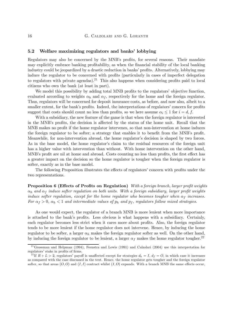#### 5.2 Welfare maximizing regulators and banks' lobbying

Regulators may also be concerned by the MNB's profits, for several reasons. Their mandate may explicitly embrace banking profitability, as when the financial stability of the local banking industry could be jeopardized by a drastic reduction in banks' profits. Alternatively, lobbying may induce the regulator to be concerned with profits (particularly in cases of imperfect delegation to regulators with private agendas).<sup>21</sup> This also happens when considering profits paid to local citizens who own the bank (at least in part).

We model this possibility by adding total MNB profits to the regulators' objective function, evaluated according to weights  $\alpha_h$  and  $\alpha_f$ , respectively for the home and the foreign regulator. Thus, regulators will be concerned for deposit insurance costs, as before, and now also, albeit to a smaller extent, for the bank's profits. Indeed, the interpretations of regulators' concern for profits suggest that costs should count no less than profits, so we here assume  $\alpha_i \leq 1$  for  $i = d, f$ .

With a subsidiary, the new feature of the game is that when the foreign regulator is interested in the MNB's profits, the decision is affected by the status of the home unit. Recall that the MNB makes no profit if the home regulator intervenes, so that non-intervention at home induces the foreign regulator to be softer; a strategy that enables it to benefit from the MNB's profit. Meanwhile, for non-intervention abroad, the home regulator's decision is shaped by two forces. As in the base model, the home regulator's claim to the residual resources of the foreign unit has a higher value with intervention than without. With home intervention on the other hand, MNB's profit are nil at home and abroad. Costs counting no less than profits, the first effect has a greater impact on the decision so the home regulator is tougher when the foreign regulator is softer, exactly as in the base model.

The following Proposition illustrates the effects of regulators' concern with profits under the two representations.

Proposition 6 (Effects of Profits on Regulation) With a foreign branch, larger profit weights  $\alpha_h$  and  $\alpha_f$  induce softer regulation on both units. With a foreign subsidiary, larger profit weights induce softer regulation, except for the home regulator who becomes tougher when  $\alpha_f$  increases. For  $\alpha_f > 0$ ,  $\alpha_h < 1$  and intermediate values of  $p_h$  and  $p_f$ , regulators follow mixed strategies.

As one would expect, the regulator of a branch MNB is more lenient when more importance is attached to the bank's profits. Less obvious is what happens with a subsidiary. Certainly, each regulator becomes less strict when it cares more about profits. Also, the foreign regulator tends to be more lenient if the home regulator does not intervene. Hence, by inducing the home regulator to be softer, a larger  $\alpha_h$  makes the foreign regulator softer as well. On the other hand, by inducing the foreign regulator to be lenient, a larger  $\alpha_f$  makes the home regulator tougher.<sup>22</sup>

 $^{21}$ Grossman and Helpman (1994), Feenstra and Lewis (1991) and Calzolari (2004) use this interpretation for regulators' stake in profits of firms.

<sup>&</sup>lt;sup>22</sup>If  $R + L > 2$ , regulators' payoff is unaffected except for strategies  $d_h = I$ ,  $d_f = O$ , in which case it increases as compared with the case discussed in the text. Hence, the home regulator gets tougher and the foreign regulator softer, so that areas  $(O, O)$  and  $(I, I)$  contract whilst  $(I, O)$  expands. With a branch MNB the same effects occur,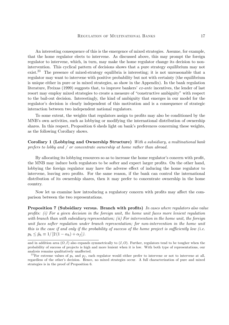An interesting consequence of this is the emergence of mixed strategies. Assume, for example, that the home regulator elects to intervene. As discussed above, this may prompt the foreign regulator to intervene, which, in turn, may make the home regulator change its decision to nonintervention. This cyclical pattern of decisions shows that a pure strategy equilibrium may not exist.<sup>23</sup> The presence of mixed-strategy equilibria is interesting; it is not unreasonable that a regulator may want to intervene with positive probability but not with certainty (the equilibrium is unique either in pure or in mixed strategies, as show in the Appendix). In the bank regulation literature, Freixas (1999) suggests that, to improve bankers' ex-ante incentives, the lender of last resort may employ mixed strategies to create a measure of "constructive ambiguity" with respect to the bail-out decision. Interestingly, the kind of ambiguity that emerges in our model for the regulator's decision is clearly independent of this motivation and is a consequence of strategic interaction between two independent national regulators.

To some extent, the weights that regulators assign to profits may also be conditioned by the MNB's own activities, such as lobbying or modifying the international distribution of ownership shares. In this respect, Proposition 6 sheds light on bank's preferences concerning these weights, as the following Corollary shows.

Corollary 1 (Lobbying and Ownership Structure) With a subsidiary, a multinational bank prefers to lobby and / or concentrate ownership at home rather than abroad.

By allocating its lobbying resources so as to increase the home regulator's concern with profit, the MNB may induce both regulators to be softer and expect larger profits. On the other hand, lobbying the foreign regulator may have the adverse effect of inducing the home regulator to intervene, leaving zero profits. For the same reason, if the bank can control the international distribution of its ownership shares, then it may prefer to concentrate ownership in the home country.

Now let us examine how introducing a regulatory concern with profits may affect the comparison between the two representations.

Proposition 7 (Subsidiary versus. Branch with profits) In cases where regulators also value profits: (i) For a given decision in the foreign unit, the home unit faces more lenient regulation with branch than with subsidiary representation; (ii) For intervention in the home unit, the foreign unit faces softer regulation under branch representation; for non-intervention in the home unit this is the case if and only if the probability of success of the home project is sufficiently low (i.e.  $p_h \leq \tilde{p}_h \equiv 1/[2(1-\alpha_h)+\alpha_f]$ .

and in addition area  $(O, I)$  also expands symmetrically to  $(I, O)$ . Further, regulators tend to be tougher when the probability of success of projects is high and more lenient when it is low. With both type of representations, our analysis remains qualitatively unaffected.

<sup>&</sup>lt;sup>23</sup>For extreme values of  $p_h$  and  $p_f$ , each regulator would either prefer to intervene or not to intervene at all, regardless of the other's decision. Hence, no mixed strategies occur. A full characterization of pure and mixed strategies is in the proof of Proposition 6.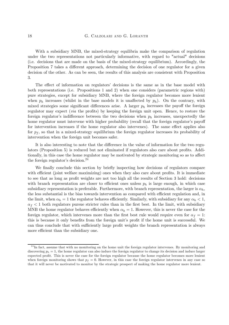With a subsidiary MNB, the mixed-strategy equilibria make the comparison of regulation under the two representations not particularly informative, with regard to "actual" decisions (i.e. decisions that are made on the basis of the mixed-strategy equilibrium). Accordingly, the Proposition 7 takes a different approach, determining the decision of one regulator for a given decision of the other. As can be seen, the results of this analysis are consistent with Proposition 3.

The effect of information on regulators' decisions is the same as in the base model with both representations (i.e. Propositions 1 and 2) when one considers (parametric regions with) pure strategies, except for subsidiary MNB, where the foreign regulator becomes more lenient when  $p_h$  increases (whilst in the base models it is unaffected by  $p_h$ ). On the contrary, with mixed strategies some significant differences arise. A larger  $p_h$  increases the payoff the foreign regulator may expect (via the profits) by keeping the foreign unit open. Hence, to restore the foreign regulator's indifference between the two decisions when  $p<sub>h</sub>$  increases, unexpectedly the home regulator must intervene with higher probability (recall that the foreign regulator's payoff for intervention increases if the home regulator also intervenes). The same effect applies also for  $p_f$ , so that in a mixed-strategy equilibrium the foreign regulator increases its probability of intervention when the foreign unit becomes safer.

It is also interesting to note that the difference in the value of information for the two regulators (Proposition 5) is reduced but not eliminated if regulators also care about profits. Additionally, in this case the home regulator may be motivated by strategic monitoring so as to affect the foreign regulator's decision.<sup>24</sup>

We finally conclude this section by briefly inspecting how decisions of regulators compare with efficient (joint welfare maximizing) ones when they also care about profits. It is immediate to see that as long as profit weights are not too high all the results of Section 3 hold: decisions with branch representation are closer to efficient ones unless  $p<sub>h</sub>$  is large enough, in which case subsidiary representation is preferable. Furthermore, with branch representation, the larger is  $\alpha_h$ , the less substantial is the bias towards intervention as compared with efficient regulation and, in the limit, when  $\alpha_h = 1$  the regulator behaves efficiently. Similarly, with subsidiary for any  $\alpha_h < 1$ ,  $\alpha_f$  < 1 both regulators pursue stricter rules than in the first best. In the limit, with subsidiary MNB the home regulator behaves efficiently when  $\alpha_h = 1$ . However, this is never the case for the foreign regulator, which intervenes more than the first best rule would require even for  $\alpha_f = 1$ : this is because it only benefits from the foreign unit's profit if the home unit is successful. We can thus conclude that with sufficiently large profit weights the branch representation is always more efficient than the subsidiary one.

 $^{24}$ In fact, assume that with no monitoring on the home unit the foreign regulator intervenes. By monitoring and discovering  $p<sub>h</sub> = 1$ , the home regulator can also induce the foreign regulator to change its decision and induce larger expected profit. This is never the case for the foreign regulator because the home regulator becomes more lenient when foreign monitoring shows that  $p_f = 0$ . However, in this case the foreign regulator intervenes in any case so that it will never be motivated to monitor by the strategic prospect of making the home regulator more lenient.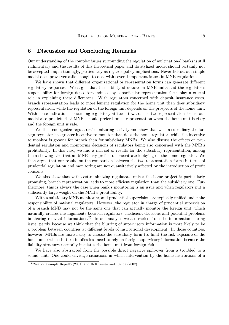# 6 Discussion and Concluding Remarks

Our understanding of the complex issues surrounding the regulation of multinational banks is still rudimentary and the results of this theoretical paper and its stylized model should certainly not be accepted unquestioningly, particularly as regards policy implications. Nevertheless, our simple model does prove versatile enough to deal with several important issues in MNB regulation.

We have shown that different organizational or representation forms can generate different regulatory responses. We argue that the liability structure on MNB units and the regulator's responsibility for foreign depositors induced by a particular representation form play a crucial role in explaining these differences. With regulators concerned with deposit insurance costs, branch representation leads to more lenient regulation for the home unit than does subsidiary representation, while the regulation of the foreign unit depends on the prospects of the home unit. With these indications concerning regulatory attitude towards the two representation forms, our model also predicts that MNBs should prefer branch representation when the home unit is risky and the foreign unit is safe.

We then endogenize regulators' monitoring activity and show that with a subsidiary the foreign regulator has greater incentive to monitor than does the home regulator, while the incentive to monitor is greater for branch than for subsidiary MNBs. We also discuss the effects on prudential regulation and monitoring decisions of regulators being also concerned with the MNB's profitability. In this case, we find a rich set of results for the subsidiary representation, among them showing also that an MNB may prefer to concentrate lobbying on the home regulator. We then argue that our results on the comparison between the two representation forms in terms of prudential regulation and monitoring are not quantitatively affected by the introduction of profit concerns.

We also show that with cost-minimizing regulators, unless the home project is particularly promising, branch representation leads to more efficient regulation than the subsidiary one. Furthermore, this is always the case when bank's monitoring is an issue and when regulators put a sufficiently large weight on the MNB's profitability.

With a subsidiary MNB monitoring and prudential supervision are typically unified under the responsibility of national regulators. However, the regulator in charge of prudential supervision of a branch MNB may not be the same one that can actually monitor the foreign unit, which naturally creates misalignments between regulators, inefficient decisions and potential problems in sharing relevant informations.<sup>25</sup> In our analysis we abstracted from the information-sharing issue, partly because we think that the blurring of supervisory information is more likely to be a problem between countries at different levels of institutional development. In those countries, however, MNBs are more likely to choose the subsidiary form (to limit the risk exposure of the home unit) which in turn implies less need to rely on foreign supervisory information because the liability structure naturally insulates the home unit from foreign risk.

We have also abstracted from the possible direct negative spill-over from a troubled to a sound unit. One could envisage situations in which intervention by the home institutions of a

<sup>&</sup>lt;sup>25</sup>See for example Repullo (2001) and Holthausen and Rønde (2002).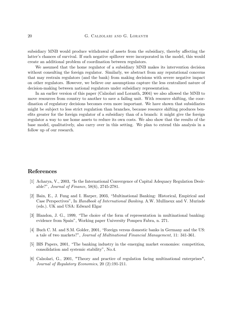subsidiary MNB would produce withdrawal of assets from the subsidiary, thereby affecting the latter's chances of survival. If such negative spillover were incorporated in the model, this would create an additional problem of coordination between regulators.

We assumed that the home regulator of a subsidiary MNB makes its intervention decision without consulting the foreign regulator. Similarly, we abstract from any reputational concerns that may restrain regulators (and the bank) from making decisions with severe negative impact on other regulators. However, we believe our assumptions capture the less centralized nature of decision-making between national regulators under subsidiary representation.

In an earlier version of this paper (Calzolari and Loranth, 2004) we also allowed the MNB to move resources from country to another to save a failing unit. With resource shifting, the coordination of regulatory decisions becomes even more important. We have shown that subsidiaries might be subject to less strict regulation than branches, because resource shifting produces benefits greater for the foreign regulator of a subsidiary than of a branch: it might give the foreign regulator a way to use home assets to reduce its own costs. We also show that the results of the base model, qualitatively, also carry over in this setting. We plan to extend this analysis in a follow up of our research.

# References

- [1] Acharya, V., 2003, "Is the International Convergence of Capital Adequacy Regulation Desirable?", Journal of Finance, 58(6), 2745-2781.
- [2] Bain, E., J. Fung and I. Harper, 2003, "Multinational Banking: Historical, Empirical and Case Perspectives", In Handbook of International Banking. A.W. Mullineux and V. Murinde (eds.). UK and USA: Edward Elgar
- [3] Blandon, J. G., 1999, "The choice of the form of representation in multinational banking: evidence from Spain", Working paper University Pompeu Fabra, n. 271.
- [4] Buch C. M. and S.M. Golder, 2001, "Foreign versus domestic banks in Germany and the US: a tale of two markets?", Journal of Multinational Financial Management, 11: 341-361.
- [5] BIS Papers, 2001, "The banking industry in the emerging market economies: competition, consolidation and systemic stability", No.4.
- [6] Calzolari, G., 2001, "Theory and practice of regulation facing multinational enterprises", Journal of Regulatory Economics, 20 (2):191-211.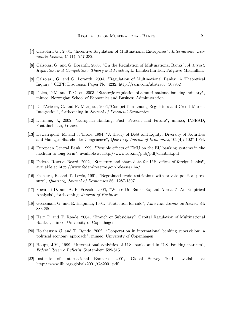- [7] Calzolari, G., 2004, "Incentive Regulation of Multinational Enterprises", International Economic Review, 45 (1): 257-282.
- [8] Calzolari G. and G. Loranth, 2003, "On the Regulation of Multinational Banks", Antitrust, Regulation and Competition: Theory and Practice, L. Lambertini Ed., Palgrave Macmillan.
- [9] Calzolari, G. and G. Loranth, 2004, "Regulation of Multinational Banks: A Theoretical Inquiry," CEPR Discussion Paper No. 4232. http://ssrn.com/abstract=508962
- [10] Dalen, D.M. and T. Olsen, 2003, "Strategic regulation of a multi-national banking industry", mimeo, Norwegian School of Economics and Business Administration.
- [11] Dell'Ariccia, G. and R. Marquez, 2006,"Competition among Regulators and Credit Market Integration", forthcoming in Journal of Financial Economics.
- [12] Dermine, J., 2002, "European Banking, Past, Present and Future", mimeo, INSEAD, Fontainebleau, France.
- [13] Dewatripont, M. and J. Tirole, 1994, "A theory of Debt and Equity: Diversity of Securities and Manager-Shareholder Congruence", Quarterly Journal of Economics, 109(4): 1027-1054.
- [14] European Central Bank, 1999, "Possible effects of EMU on the EU banking systems in the medium to long term", available at http://www.ecb.int/pub/pdf/emubnk.pdf
- [15] Federal Reserve Board, 2002, "Structure and share data for U.S. offices of foreign banks", available at http://www.federalreserve.gov/releases/iba/
- [16] Feenstra, R. and T. Lewis, 1991, "Negotiated trade restrictions with private political pressure", Quarterly Journal of Economics 56: 1287-1307.
- [17] Focarelli D. and A. F. Pozzolo, 2006, "Where Do Banks Expand Abroad? An Empirical Analysis", forthcoming, Journal of Business.
- [18] Grossman, G. and E. Helpman, 1994, "Protection for sale", American Economic Review 84: 883-850.
- [19] Harr T. and T. Rønde, 2004, "Branch or Subsidiary? Capital Regulation of Multinational Banks", mimeo, University of Copenhagen
- [20] Holthausen C. and T. Rønde, 2002, "Cooperation in international banking supervision: a political economy approach", mimeo, University of Copenhagen.
- [21] Houpt, J.V., 1999, "International activities of U.S. banks and in U.S. banking markets", Federal Reserve Bulletin, September: 599-615
- [22] Institute of International Bankers, 2001, Global Survey 2001, available at http://www.iib.org/global/2001/GS2001.pdf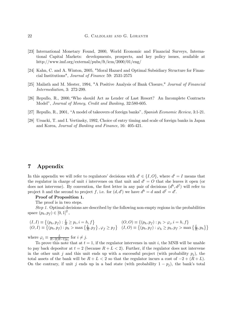- [23] International Monetary Found, 2000, World Economic and Financial Surveys, International Capital Markets: developments, prospects, and key policy issues, available at http://www.imf.org/external/pubs/ft/icm/2000/01/eng/
- [24] Kahn, C. and A. Winton, 2005, "Moral Hazard and Optimal Subsidiary Structure for Financial Institutions", Journal of Finance 59: 2531-2575
- [25] Mailath and M. Mester, 1994, "A Positive Analysis of Bank Closure," Journal of Financial Intermediation, 3: 272-299.
- [26] Repullo, R., 2000,"Who should Act as Lender of Last Resort? An Incomplete Contracts Model", Journal of Money, Credit and Banking, 32:580-605.
- [27] Repullo, R., 2001, "A model of takeovers of foreign banks", Spanish Economic Review, 3:1-21.
- [28] Ursacki, T. and I. Vertinsky, 1992, Choice of entry timing and scale of foreign banks in Japan and Korea, Journal of Banking and Finance, 16: 405-421.

# 7 Appendix

In this appendix we will refer to regulators' decisions with  $d^i \in \{I, O\}$ , where  $d^i = I$  means that the regulator in charge of unit i intervenes on that unit and  $d^{i} = O$  that she leaves it open (or does not intervene). By convention, the first letter in any pair of decisions  $(d<sup>h</sup>, d<sup>f</sup>)$  will refer to project h and the second to project f, i.e. for  $(d, d')$  we have  $d^h = d$  and  $d^f = d'$ .

#### Proof of Proposition 1.

The proof is in two steps.

Step 1. Optimal decisions are described by the following non-empty regions in the probabilities space  $(p_h, p_f) \in [0, 1]^2$ ,

$$
(I, I) \equiv \{ (p_h, p_f) : \frac{L}{R} \ge p_i, i = h, f \} \qquad (O, O) \equiv \{ (p_h, p_f) : p_i > \varphi_i, i = h, f \} \quad (O, I) \equiv \{ (p_h, p_f) : p_h > \max \{ \frac{L}{R}, p_f \} , \varphi_f \ge p_f \} \quad (I, O) \equiv \{ (p_h, p_f) : \varphi_h \ge p_h, p_f > \max \{ \frac{L}{R}, p_h \} \}
$$

where  $\varphi_i \equiv \frac{L}{R-2(R-1)p_j}$  for  $i \neq j$ .

To prove this note that at  $t = 1$ , if the regulator intervenes in unit i, the MNB will be unable to pay back depositor at  $t = 2$  (because  $R + L < 2$ ). Further, if the regulator does not intervene in the other unit j and this unit ends up with a successful project (with probability  $p_i$ ), the total assets of the bank will be  $R + L < 2$  so that the regulator incurs a cost of  $-2 + (R + L)$ . On the contrary, if unit j ends up in a bad state (with probability  $1 - p_i$ ), the bank's total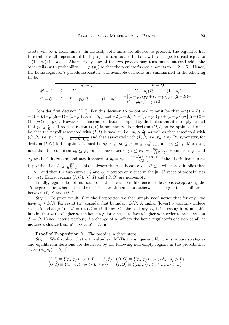assets will be  $L$  from unit  $i$ . In instead, both units are allowed to proceed, the regulator has to reimburse all depositors if both projects turn out to be bad, with an expected cost equal to  $-(1-p_h)(1-p_f)$  2. Alternatively, one of the two project may turn out to succeed while the other fails (with probability  $(1 - p_i) p_j$ ) so that the regulator's cost amounts to  $-(2 - R)$ . Hence, the home regulator's payoffs associated with available decisions are summarized in the following table.

| $d^j = I$                                                 | $d^j = Q$                                                      |
|-----------------------------------------------------------|----------------------------------------------------------------|
| $d^h = I \mid -2(1-L)$                                    | $-(1-L)+p_f(R-1)-(1-p_f)$                                      |
| $d^h = O \Big  -(1 - L) + p_h(R - 1) - (1 - p_h) \Big _1$ | $-[(1-p_h) p_f + (1-p_f) p_h] (2-R)+$<br>- $(1-p_h) (1-p_f) 2$ |

Consider first decision  $(I, I)$ . For this decision to be optimal it must be that  $-2(1 - L) \ge$  $-(1 - L) + p_i(R-1) - (1 - p_i)$  for  $i = h, f$  and  $-2(1 - L) \ge -[(1 - p_h) p_f + (1 - p_f) p_h] (2 - R) (1-p_h)(1-p_f)$  2. However, this second condition is implied by the first so that it is simply needed that  $p_i \leq \frac{L}{R} < 1$  so that region  $(I, I)$  is non-empty. For decision  $(O, I)$  to be optimal it must be that the payoff associated with  $(I, I)$  is smaller, i.e.  $p_h > \frac{L}{R}$ , as well as that associated with  $(O, O)$ , i.e.  $p_f \leq \varphi_f = \frac{L}{R-2(R-1)p_h}$  and that associated with  $(I, O)$ , i.e.  $p_h \geq p_f$ . By symmetry, for decision  $(I, O)$  to be optimal it must be  $p_f > \frac{L}{R}$ ,  $p_h \le \varphi_h = \frac{L}{R - 2(R - 1)p_f}$  and  $p_h \le p_f$ . Moreover, note that the condition  $p_h \leq \varphi_h$  can be rewritten as  $p_f \leq \varphi'_h = \frac{Rp_h - L}{2p_h(R-1)}$ . Boundaries  $\varphi'_h$  and  $\varphi_f$  are both increasing and may intersect at  $p_h = c_{\pm} \equiv \frac{R \pm \sqrt{R^2 - 8L(R-1)}}{4(R-1)}$  $\frac{4(R-3L)(R-1)}{4(R-1)}$  if the discriminant in  $c_{\pm}$ is positive, i.e.  $L \leq \frac{R^2}{8(R-1)}$ . This is always the case because  $L + R \leq 2$  which also implies that  $c_+ > 1$  and then the two curves  $\varphi'_h$  and  $\varphi_f$  intersect only once in the  $[0, 1]^2$  space of probabilities  $(p_h, p_f)$ . Hence, regions  $(I, O), (O, I)$  and  $(O, O)$  are non-empty.

Finally, regions do not intersect so that there is no indifference for decisions except along the 45◦ degrees lines where either the decisions are the same, or, otherwise, the regulator is indifferent between  $(I, O)$  and  $(O, I)$ .

Step 2. To prove result (i) in the Proposition we then simply need notice that for any i we have  $\varphi_i \geq L/R$ . For result (ii), consider first boundary  $L/R$ . A higher (lower)  $p_i$  can only induce a decision change from  $d^i = I$  to  $d^i = O$ , if any. On the contrary,  $\varphi_i$  is increasing in  $p_j$  and this implies that with a higher  $p_i$  the home regulator needs to face a higher  $p_i$  in order to take decision  $d^i = O$ . Hence, ceteris paribus, if a change of  $p_i$  affects the home regulator's decision at all, it induces a change from  $d^i = O$  to  $d^i = I$ .

Proof of Proposition 2. The proof is in three steps.

Step 1. We first show that with subsidiary MNBs the unique equilibrium is in pure strategies and equilibrium decisions are described by the following non-empty regions in the probabilities space  $(p_h, p_f) \in [0, 1]^2$ ,

$$
(I, I) \equiv \{ (p_h, p_f) : p_i \le L, i = h, f \} \quad (O, O) \equiv \{ (p_h, p_f) : p_h > \delta_h, p_f > L \} (O, I) \equiv \{ (p_h, p_f) : p_h > L \ge p_f \} \quad (I, O) \equiv \{ (p_h, p_f) : \delta_h \ge p_h, p_f > L \}
$$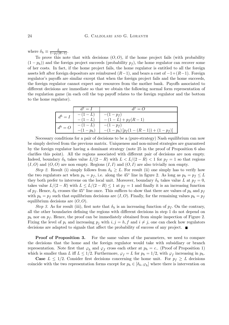where  $\delta_h \equiv \frac{L}{1 - p_f(R-1)}$ .

To prove this note that with decisions  $(O, O)$ , if the home project fails (with probability  $(1-p_h)$ ) and the foreign project succeeds (probability  $p_f$ ), the home regulator can recover some of her costs. In fact, if the home project fails, the home regulator is entitled to all the foreign assets left after foreign depositors are reimbursed  $(R-1)$ , and bears a cost of  $-1+(R-1)$ . Foreign regulator's payoffs are similar except that when the foreign project fails and the home succeeds, the foreign regulator cannot expect any resources from the mother bank. Payoffs associated to different decisions are immediate so that we obtain the following normal form representation of the regulation game (in each cell the top payoff relates to the foreign regulator and the bottom to the home regulator).

|                | $d^J = I$              | $d^f = Q$                                      |
|----------------|------------------------|------------------------------------------------|
| $d^h=I$        | $-(1-L)$<br>$-(1 - L)$ | $- (1 - p_f)$<br>$-(1-L)+p_f(R-1)$             |
| $\int d^h = O$ | $-(1-L)$<br>$-(1-p_h)$ | $-(1-p_f)$<br>$-(1-p_h)[p_f(1-(R-1))+(1-p_f)]$ |

Necessary conditions for a pair of decisions to be a (pure-strategy) Nash equilibrium can now be simply derived from the previous matrix. Uniqueness and non-mixed strategies are guaranteed by the foreign regulator having a dominant strategy (note 25 in the proof of Proposition 6 also clarifies this point). All the regions associated with different pair of decisions are non empty. Indeed, boundary  $\delta_h$  takes value  $L/(2 - R)$  with  $L < L/(2 - R) < 1$  for  $p_f = 1$  so that regions  $(I, O)$  and  $(O, O)$  are non empty. Regions  $(I, I)$  and  $(O, I)$  are also trivially non empty.

Step 2. Result (i) simply follows from  $\delta_h \geq L$ . For result (ii) one simply has to verify how the two regulators act when  $p_h = p_f$ , i.e. along the 45° line in figure 2. As long as  $p_h = p_f \leq L$ they both prefer to intervene on the local unit. Moreover, boundary  $\delta_h$  takes value L at  $p_f = 0$ , takes value  $L/(2 - R)$  with  $L \le L/(2 - R) \le 1$  at  $p_f = 1$  and finally it is an increasing function of  $p_f$ . Hence,  $\delta_h$  crosses the 45° line once. This suffices to show that there are values of  $p_h$  and  $p_f$ with  $p_h = p_f$  such that equilibrium decisions are  $(I, O)$ . Finally, for the remaining values  $p_h = p_f$ equilibrium decisions are  $(O, O)$ .

Step 3. As for result (iii), first note that  $\delta_h$  is an increasing function of  $p_f$ . On the contrary, all the other boundaries defining the regions with different decisions in step 1 do not depend on  $p_h$  nor on  $p_f$ . Hence, the proof can be immediately obtained from simple inspection of Figure 2. Fixing the level of  $p_i$  and increasing  $p_j$  with  $i, j = h, f$  and  $i \neq j$ , one can check how regulators decisions are adapted to signals that affect the probability of success of any project.

**Proof of Proposition 3.** For the same values of the parameters, we need to compare the decisions that the home and the foreign regulator would take with subsidiary or branch representation. Note first that  $\varphi_h$  and  $\varphi_f$  cross each other at  $p_h = c_+$  (Proof of Proposition 1) which is smaller than L iff  $L \leq 1/2$ . Furthermore,  $\varphi_f = L$  for  $p_h = 1/2$ , with  $\varphi_f$  increasing in  $p_h$ .

**Case**  $L \leq 1/2$ . Consider first decisions concerning the home unit. For  $p_f \geq L$  decisions coincide with the two representation forms except for  $p_h \in [\delta_h, \varphi_h]$  where there is intervention on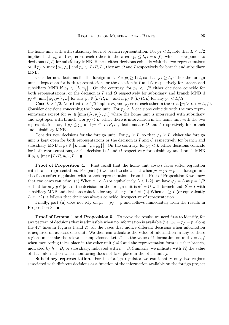the home unit with with subsidiary but not branch representation. For  $p_f < L$ , note that  $L \leq 1/2$ implies that  $\varphi_h$  and  $\varphi_f$  cross each other in the area  $\{p_i \leq L, i = h, f\}$  which corresponds to decisions  $(I, I)$  for subsidiary MNB. Hence, either decisions coincide with the two representations or, if  $p_f \leq \max\{p_h, \varphi_h\}$  and  $p_h \in [L/R, L]$ , they are O and I respectively for branch and subsidiary MNB.

Consider now decisions for the foreign unit. For  $p_h \geq 1/2$ , so that  $\varphi_f \geq L$ , either the foreign unit is kept open for both representations or the decision is  $I$  and  $O$  respectively for branch and subsidiary MNB if  $p_f \in [L, \varphi_f]$ . On the contrary, for  $p_h < 1/2$  either decisions coincide for both representations, or the decision is  $I$  and  $O$  respectively for subsidiary and branch MNB if  $p_f \in \left[\min\left\{\varphi_f, p_h\right\}, L\right]$  for any  $p_h \in [L/R, L]$ , and if  $p_f \in [L/R, L]$  for any  $p_h < L/R$ .

**Case**  $L > 1/2$ . Note that  $L > 1/2$  implies  $\varphi_h$  and  $\varphi_f$  cross each other in the area  $\{p_i > L, i = h, f\}$ . Consider decisions concerning the home unit. For  $p_f \geq L$  decisions coincide with the two representations except for  $p_h \in [\min{\{\delta_h, p_f\}}, \varphi_h]$  where the home unit is intervened with subsidiary and kept open with branch. For  $p_f < L$ , either there is intervention in the home unit with the two representations or, if  $p_f \leq p_h$  and  $p_h \in [L/R, L]$ , decisions are O and I respectively for branch and subsidiary MNBs.

Consider now decisions for the foreign unit. For  $p_h \geq L$ , so that  $\varphi_f \geq L$ , either the foreign unit is kept open for both representations or the decision is  $I$  and  $O$  respectively for branch and subsidiary MNB if  $p_f \in [L, \min{\{\varphi_f, p_h\}}]$ . On the contrary, for  $p_h < L$  either decisions coincide for both representations, or the decision is  $I$  and  $O$  respectively for subsidiary and branch MNB if  $p_f \in [\max\{L/R, p_h\}, L]$ .

**Proof of Proposition 4.** First recall that the home unit always faces softer regulation with branch representation. For part (i) we need to show that when  $p_h = p_f = p$  the foreign unit also faces softer regulation with branch representation. From the Prof of Proposition 3 we know that two cases can arise. (a) When  $c_-\lt L$  (or equivalently  $L<1/2$ ), we have  $\varphi_f=L$  at  $p=1/2$ so that for any  $p \in [c_-, L]$  the decision on the foreign unit is  $d^f = O$  with branch and  $d^f = I$  with subsidiary MNB and decisions coincide for any other p. In fact, (b) When  $c_-\geq L$  (or equivalently  $L \geq 1/2$ ) it follows that decisions always coincide, irrespective of representation.

Finally, part (ii) does not rely on  $p_h = p_f = p$  and follows immediately from the results in Proposition 3.  $\blacksquare$ 

Proof of Lemma 1 and Proposition 5. To prove the results we need first to identify, for any pattern of decisions that is admissible when no information is available (i.e.  $p_h = p_f = p$ , along the 45◦ lines in Figures 1 and 2), all the cases that induce different decisions when information is acquired on at least one unit. We then can calculate the value of information in any of those regions and make the relevant comparisons. Let  $V_h^i$  be the value of information on unit  $i = h, f$ when monitoring takes place in the other unit  $j \neq i$  and the representation form is either branch, indicated by  $h = B$ , or subsidiary, indicated with  $h = S$ . Similarly, we indicate with  $\bar{V}_h^i$  the value of that information when monitoring does not take place in the other unit  $j$ .

Subsidiary representation. For the foreign regulator we can identify only two regions associated with different decisions as a function of the information available on the foreign project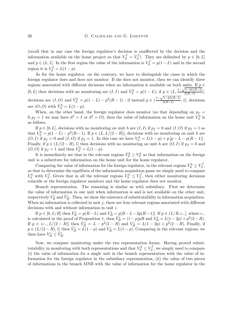(recall that in any case the foreign regulator's decision is unaffected by the decision and the information available on the home project so that  $V_S^f = \bar{V}_S^f$ . They are delimited by  $p \in [0, L]$ and  $p \in (L, 1]$ . In the first region the value of the information is  $V_S^f = p(1-L)$  and in the second region it is  $V_S^f = L(1-p)$ .

As for the home regulator, on the contrary, we have to distinguish the cases in which the foreign regulator does and does not monitor. If she does not monitor, then we can identify three regions associated with different decisions when no information is available on both units. If  $p \in$ [0, L] then decisions with no monitoring are  $(I, I)$  and  $\bar{V}_S^h = p(1 - L)$ ; if  $p \in (L, \frac{1 - \sqrt{1 - 4L(R-1)}}{2(R-1)})$  $\frac{1-4L(1L-1)}{2(R-1)}$ , decisions are  $(I, O)$  and  $\bar{V}_S^h = p(1 - L) - p^2(R - 1)$ ; if instead  $p \in (\frac{1 - \sqrt{1 - 4L(R - 1)}}{2(R - 1)})$  $\frac{1-4L(L-1)}{2(R-1)}$ , 1], decisions are  $(O, O)$  with  $\bar{V}_S^h = L(1 - p)$ .

When, on the other hand, the foreign regulator does monitor (so that depending on  $p_f$  =  $0, p_f = 1$  we may have  $d^f = I$  or  $d^f = O$ , then the value of information on the home unit  $V_S^h$  is as follows.

If  $p \in [0, L]$ , decisions with no monitoring on unit h are  $(I, I)$  if  $p_f = 0$  and  $(I, O)$  if  $p_f = 1$  so that  $V_S^h = p(1-L) - p^2(R-1)$ . If  $p \in (L, L/(2-R))$ , decisions with no monitoring on unit h are  $(O, I)$  if  $p_f = 0$  and  $(I, O)$  if  $p_f = 1$ . In this case we have  $V_S^h = L(1-p) + p[p - L - p(R - 1)]$ . Finally, if  $p \in (L/(2 - R), 1]$  then decisions with no monitoring on unit h are  $(O, I)$  if  $p_f = 0$  and (*O*, *O*) if  $p_f = 1$  and then  $V_S^h = L(1 - p)$ .

It is immediately see that in the relevant regions  $\bar{V}_S^h \geq V_S^h$  so that information on the foreign unit is a substitute for information on the home unit for the home regulator.

Comparing the value of information for the foreign regulator, in the relevant regions  $\bar{V}_{S}^{h} \leq V_{S}^{f}$ , so that to determine the equilibria of the information acquisition game we simply need to compare  $V_S^h$  with  $V_S^f$ . Given that in all the relevant regions  $V_S^h \leq V_S^f$ , then either monitoring decisions coincide or the foreign regulator monitors and the home regulator does not monitor.

Branch representation. The reasoning is similar as with subsidiary. First we determine the value of information in one unit when information is and is not available on the other unit, respectively  $V_B^i$  and  $\bar{V}_B^i$ . Then, we show the existence of substitutability in information acquisition. When no information is collected in unit  $j$ , there are four relevant regions associated with different decisions with and without information in unit i.

If  $p \in [0, L/R]$  then  $\bar{V}_{B}^{i} = p(R-L)$  and  $V_{B}^{i} = p[R-L-2p(R-1)]$ . If  $p \in (L/R, c_{-}]$ , where  $c_{-}$ is calculated in the proof of Proposition 1, then  $\overline{V}_{B}^{i} = (1-p)pR$  and  $V_{B}^{i} = L(1-2p) + p^{2}(2-R)$ . If  $p \in (c_-, L/(2 - R)]$  then  $\bar{V}_{\underline{B}}^i = L - p^2(2 - R)$  and  $V_{\underline{B}}^i = L(1 - 2p) + p^2(2 - R)$ . Finally, if  $p \in (L/(2-R), 1]$  then  $\bar{V}_{B}^{i} = L(1-p)$  and  $V_{B}^{i} = L(1-p)$ . Comparing in the relevant regions, we then have  $V_B^i \leq \overline{V}_B^i$ .

Now, we compare monitoring under the two representation forms. Having proved substitutability in monitoring with both representations and that  $V_S^h \leq V_S^f$ , we simply need to compare (i) the value of information for a single unit in the branch representation with the value of information for the foreign regulator in the subsidiary representation, (ii) the value of two pieces of informations in the branch MNB with the value of information for the home regulator in the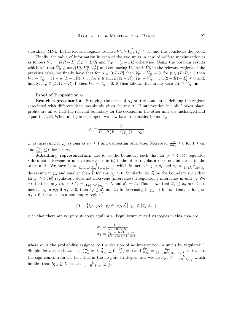subsidiary MNB. In the relevant regions we have  $\bar{V}_B^i \ge V_S^f$ ,  $V_B^i \ge V_S^h$  and this concludes the proof.

Finally, the value of information in each of the two units in case of welfare maximization is as follows  $V_W = p(R - L)$  if  $p \le L/R$  and  $V_W = (1 - p)L$  otherwise. Using the previous results which tell that  $\bar{V}_{B}^{i} \ge \max\{V_{B}^{i}, V_{S}^{h}, V_{S}^{f}\}\$  and comparing  $V_{W}$  with  $\bar{V}_{B}^{i}$  in the relevant regions of the previous table, we finally have that for  $p \in [0, L/R]$  then  $V_W - \tilde{V}_B^i = 0$ , for  $p \in (L/R, c_-]$  then  $V_W - \bar{V}_B^i = (1-p)(L-pR) \ge 0$ , for  $p \in (c_-, L/(2-R)]$   $V_W - \bar{V}_B^i = p[p(2-R) - L] \ge 0$  and, finally, if  $p \in (L/(2 - R), 1]$  then  $V_W - \bar{V}_B^i = 0$ . It then follows that in any case  $V_W \geq \bar{V}_B^i$ .

#### Proof of Proposition 6.

**Branch representation.** Studying the effect of  $\alpha_h$  on the boundaries defining the regions associated with different decisions simply gives the result. If intervention in unit i takes place, profits are nil so that the relevant boundary for the decision in the other unit i is unchanged and equal to  $L/R$ . When unit j is kept open, we now have to consider boundary

$$
\varphi_i \equiv \frac{L}{R - 2\left(R - 1\right)p_j\left(1 - \alpha_h\right)}
$$

 $\varphi_i$  is increasing in  $p_j$  as long as  $\alpha_h \leq 1$  and decreasing otherwise. Moreover,  $\frac{\partial \varphi_i}{\partial \alpha_h} \geq 0$  for  $1 \geq \alpha_h$ and  $\frac{\partial \varphi_i}{\partial \alpha_h} \leq 0$  for  $1 < \alpha_h$ .

**Subsidiary representation.** Let  $\delta_i$  be the boundary such that for  $p_i \geq (\langle \delta_i \rangle)$  regulator i does not intervene in unit i (intervenes in it) if the other regulator does not intervene in the other unit. We have  $\delta_h = \frac{L}{1-(R-1)[p_f(1-\alpha_h)-\alpha_h]}$  which is increasing in  $p_f$  and  $\delta_f = \frac{L}{1+(R-1)p_h\alpha_f}$ decreasing in  $p_h$  and smaller than L for any  $\alpha_f > 0$ . Similarly, let  $\delta_i'$  be the boundary such that for  $p_i \geq \langle \langle \rangle \delta_i'$  regulator i does not intervene (intervenes) if regulator j intervenes in unit j. We see that for any  $\alpha_h > 0$   $\delta'_h = \frac{L}{1 + (R-1)\alpha_h} < L$  and  $\delta'_f = L$ . This shows that  $\delta'_h \leq \delta_h$  and  $\delta_h$  is increasing in  $p_f$ ; if  $\alpha_f > 0$ , then  $\delta_f \leq \delta'_f$  and  $\delta_f$  is decreasing in  $p_h$ . It follows that, as long as  $\alpha_f > 0$ , there exists a non empty region

$$
M = \left\{ (p_h, p_f) : p_f \in \left[ \delta_f, \delta'_f \right], p_h \in \left[ \delta'_h, \delta_h \right] \right\}
$$

such that there are no pure strategy equilibria. Equilibrium mixed strategies in this area are

$$
\sigma_h = \frac{L - p_f}{(R - 1)p_h p_f \alpha_f}
$$

$$
\sigma_f = \frac{p_h[1 + (R - 1)\alpha_h] - L}{(R - 1)p_h p_f(1 - \alpha_h)}
$$

where  $\sigma_i$  is the probability assigned to the decision of no intervention in unit i by regulator i. Simple derivation shows that  $\frac{\partial \sigma_h}{\partial \alpha_h} = 0$ ,  $\frac{\partial \sigma_h}{\partial \alpha_f} \leq 0$ ,  $\frac{\partial \sigma_f}{\partial \alpha_f} = 0$  and  $\frac{\partial \sigma_f}{\partial \alpha_h} = \frac{R p_h - L}{(R-1) p_h p_f (1-\alpha_h)^2} > 0$  where the sign comes from the fact that in the no-pure-strategies area we have  $p_h \geq \frac{L}{1 + (R-1)\alpha_h}$  which implies that  $Rp_h \geq L$  because  $\frac{L}{1 + (R-1)\alpha_h} \geq \frac{L}{R}$ .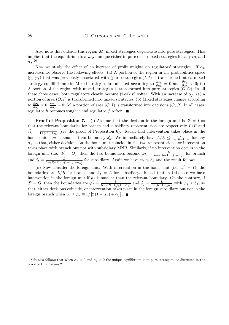Also note that outside this region  $M$ , mixed strategies degenerate into pure strategies. This implies that the equilibrium is always unique either in pure or in mixed strategies for any  $\alpha_h$  and  $\alpha_f.^{26}$ 

Now we study the effect of an increase of profit weights on regulators' strategies. If  $\alpha_h$ increases we observe the following effects. (a) A portion of the region in the probabilities space  $(p_h, p_f)$  that was previously associated with (pure) strategies  $(I, I)$  is transformed into a mixed strategy equilibrium; (b) Mixed strategies are affected according to  $\frac{\partial \sigma_h}{\partial \alpha_h} = 0$  and  $\frac{\partial \sigma_f}{\partial \alpha_h} > 0$ ; (c) A portion of the region with mixed strategies is transformed into pure strategies  $(0,0)$ . In all these three cases, both regulators clearly become (weakly) softer. With an increase of  $\alpha_f$ , (a) a portion of area  $(O, I)$  is transformed into mixed strategies; (b) Mixed strategies change according to  $\frac{\partial \sigma_h}{\partial \alpha_f} \leq 0$ ,  $\frac{\partial \sigma_f}{\partial \alpha_f} = 0$ ; (c) a portion of area  $(O, I)$  is transformed into decisions  $(O, O)$ . In all cases, regulator  $h$  becomes tougher and regulator  $f$  softer.  $\blacksquare$ 

**Proof of Proposition 7.** (i) Assume that the decision in the foreign unit is  $d^f = I$  so that the relevant boundaries for branch and subsidiary representation are respectively  $L/R$  and  $\delta'_{h} = \frac{L}{1 + (R-1)\alpha_{h}}$  (see the proof of Proposition 6). Recall that intervention takes place in the home unit if  $p_h$  is smaller than boundary  $\delta'_h$ . We immediately have  $L/R \leq \frac{L}{1 + (R-1)\alpha_h}$  for any  $\alpha_h$  so that, either decisions on the home unit coincide in the two representations, or intervention takes place with branch but not with subsidiary MNB. Similarly, if no intervention occurs in the foreign unit (i.e.  $d^f = O$ ), then the two boundaries become  $\varphi_h = \frac{L}{R - 2(R-1)p_f(1-\alpha_h)}$  for branch and  $\delta_h = \frac{L}{1 - (R-1)[p_f(1-\alpha_h) - \alpha_h]}$  for subsidiary. Again we have  $\varphi_h \leq \delta_h$  and the result follows.

(ii) Now consider the foreign unit. With intervention in the home unit (i.e.  $d^h = I$ ), the boundaries are  $L/R$  for branch and  $\delta'_{f} = L$  for subsidiary. Recall that in this case we have intervention in the foreign unit if  $p_f$  is smaller than the relevant boundary. On the contrary, if  $d^h = O$ , then the boundaries are  $\varphi_f = \frac{L}{R-2(R-1)p_h(1-\alpha_h)}$  and  $\delta_f = \frac{L}{1+(R-1)p_h\alpha_f}$  with  $\varphi_f \leq \delta_f$ , so that, either decisions coincide, or intervention takes place in the foreign subsidiary but not in the foreign branch when  $p_h \leq \bar{p}_h \equiv 1/[2(1-\alpha_h) + \alpha_f]$ .

<sup>&</sup>lt;sup>26</sup>It also follows that when  $\alpha_h = 0$  and  $\alpha_f = 0$  the unique equilibrium is in pure strategies, as discussed in the proof of Proposition 2.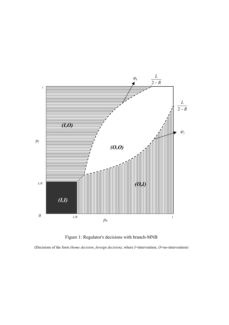

Figure 1: Regulator's decisions with branch-MNB

(Decisions of the form *(home decision, foreign decision)*, where *I*=intervention, *O*=no-intervention)